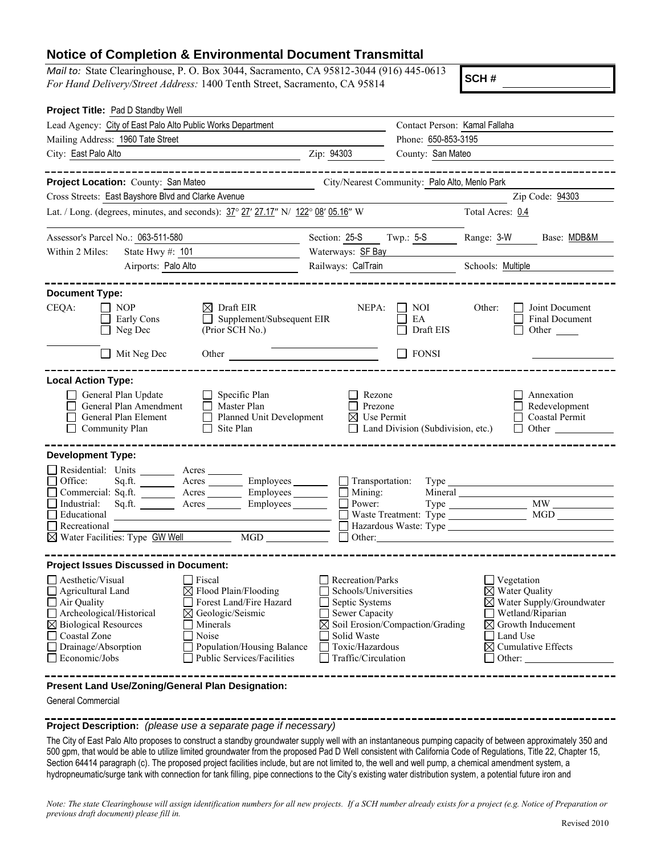## **Notice of Completion & Environmental Document Transmittal**

*Mail to:* State Clearinghouse, P. O. Box 3044, Sacramento, CA 95812-3044 (916) 445-0613 *For Hand Delivery/Street Address:* 1400 Tenth Street, Sacramento, CA 95814

**SCH #**

| Project Title: Pad D Standby Well                                                                                                                                                                                                                                                                                                                                                 |                                                                                                                                                              |                                                                                                                                                                                             |                                               |                   |                                                                                                                                                                                                     |  |
|-----------------------------------------------------------------------------------------------------------------------------------------------------------------------------------------------------------------------------------------------------------------------------------------------------------------------------------------------------------------------------------|--------------------------------------------------------------------------------------------------------------------------------------------------------------|---------------------------------------------------------------------------------------------------------------------------------------------------------------------------------------------|-----------------------------------------------|-------------------|-----------------------------------------------------------------------------------------------------------------------------------------------------------------------------------------------------|--|
| Lead Agency: City of East Palo Alto Public Works Department                                                                                                                                                                                                                                                                                                                       |                                                                                                                                                              |                                                                                                                                                                                             | Contact Person: Kamal Fallaha                 |                   |                                                                                                                                                                                                     |  |
| Mailing Address: 1960 Tate Street                                                                                                                                                                                                                                                                                                                                                 |                                                                                                                                                              | Phone: 650-853-3195                                                                                                                                                                         |                                               |                   |                                                                                                                                                                                                     |  |
| City: East Palo Alto                                                                                                                                                                                                                                                                                                                                                              |                                                                                                                                                              | Zip: 94303<br>County: San Mateo                                                                                                                                                             |                                               |                   |                                                                                                                                                                                                     |  |
| Project Location: County: San Mateo                                                                                                                                                                                                                                                                                                                                               |                                                                                                                                                              |                                                                                                                                                                                             | City/Nearest Community: Palo Alto, Menlo Park |                   |                                                                                                                                                                                                     |  |
| Cross Streets: East Bayshore Blvd and Clarke Avenue                                                                                                                                                                                                                                                                                                                               |                                                                                                                                                              |                                                                                                                                                                                             |                                               |                   | Zip Code: 94303                                                                                                                                                                                     |  |
| Lat. / Long. (degrees, minutes, and seconds): 37° 27′ 27.17″ N/ 122° 08′ 05.16″ W                                                                                                                                                                                                                                                                                                 |                                                                                                                                                              |                                                                                                                                                                                             |                                               | Total Acres: 0.4  |                                                                                                                                                                                                     |  |
|                                                                                                                                                                                                                                                                                                                                                                                   |                                                                                                                                                              |                                                                                                                                                                                             |                                               |                   |                                                                                                                                                                                                     |  |
| Assessor's Parcel No.: 063-511-580                                                                                                                                                                                                                                                                                                                                                |                                                                                                                                                              | Section: 25-S                                                                                                                                                                               | Twp.: $5-S$                                   | Range: 3-W        | Base: MDB&M                                                                                                                                                                                         |  |
| Within 2 Miles:<br>State Hwy #: 101                                                                                                                                                                                                                                                                                                                                               |                                                                                                                                                              | Waterways: <b>SF Bay</b>                                                                                                                                                                    |                                               |                   |                                                                                                                                                                                                     |  |
| Airports: Palo Alto                                                                                                                                                                                                                                                                                                                                                               |                                                                                                                                                              | Railways: CalTrain                                                                                                                                                                          |                                               | Schools: Multiple |                                                                                                                                                                                                     |  |
| <b>Document Type:</b>                                                                                                                                                                                                                                                                                                                                                             |                                                                                                                                                              |                                                                                                                                                                                             |                                               |                   |                                                                                                                                                                                                     |  |
| CEQA:<br>$\Box$ NOP<br>Early Cons<br>Neg Dec                                                                                                                                                                                                                                                                                                                                      | $\boxtimes$ Draft EIR<br>Supplement/Subsequent EIR<br>(Prior SCH No.)                                                                                        | NEPA:                                                                                                                                                                                       | $\Box$ NOI<br>EA<br>Draft EIS                 | Other:            | Joint Document<br>Final Document<br>Other                                                                                                                                                           |  |
| $\Box$ Mit Neg Dec<br>Other                                                                                                                                                                                                                                                                                                                                                       |                                                                                                                                                              |                                                                                                                                                                                             | $\Box$ FONSI                                  |                   |                                                                                                                                                                                                     |  |
| <b>Local Action Type:</b><br>General Plan Update<br>General Plan Amendment<br>General Plan Element<br>Community Plan<br>$\perp$                                                                                                                                                                                                                                                   | $\Box$ Specific Plan<br>$\Box$ Master Plan<br>Planned Unit Development<br>Site Plan                                                                          | Rezone<br>Prezone<br>$\boxtimes$ Use Permit                                                                                                                                                 | $\Box$ Land Division (Subdivision, etc.)      |                   | Annexation<br>Redevelopment<br>Coastal Permit<br>$\Box$ Other                                                                                                                                       |  |
| <b>Development Type:</b>                                                                                                                                                                                                                                                                                                                                                          |                                                                                                                                                              |                                                                                                                                                                                             |                                               |                   |                                                                                                                                                                                                     |  |
| Residential: Units Acres<br>$\Box$ Office:<br>Sq.ft.<br>Commercial: Sq.ft. ________ Acres _________ Employees _______<br>$\Box$ Industrial:<br>Sq.ft.<br>□ Educational<br>$\Box$ Recreational<br>$\boxtimes$ Water Facilities: Type $GW$ Well                                                                                                                                     | Acres ___________ Employees _____________ _____] Transportation:<br>Acres Employees<br><u> 1989 - Johann Barbara, martxa alemaniar a</u><br>$\overline{MGD}$ | Mining:<br>$\Box$ Power:<br>Other:                                                                                                                                                          |                                               | Type Type         |                                                                                                                                                                                                     |  |
| <b>Project Issues Discussed in Document:</b>                                                                                                                                                                                                                                                                                                                                      |                                                                                                                                                              |                                                                                                                                                                                             |                                               |                   |                                                                                                                                                                                                     |  |
| $\Box$ Aesthetic/Visual<br>$\Box$ Fiscal<br>Agricultural Land<br>$\boxtimes$ Flood Plain/Flooding<br>Air Quality<br>Forest Land/Fire Hazard<br>Archeological/Historical<br>⊠ Geologic/Seismic<br>$\boxtimes$ Biological Resources<br>Minerals<br>$\Box$ Coastal Zone<br>Noise<br>Drainage/Absorption<br>Population/Housing Balance<br>Economic/Jobs<br>Public Services/Facilities |                                                                                                                                                              | $\Box$ Recreation/Parks<br>Schools/Universities<br>Septic Systems<br>Sewer Capacity<br>$\boxtimes$ Soil Erosion/Compaction/Grading<br>Solid Waste<br>Toxic/Hazardous<br>Traffic/Circulation |                                               |                   | $\Box$ Vegetation<br>$\boxtimes$ Water Quality<br>$\boxtimes$ Water Supply/Groundwater<br>Wetland/Riparian<br>$\boxtimes$ Growth Inducement<br>Land Use<br>$\boxtimes$ Cumulative Effects<br>Other: |  |
| Present Land Use/Zoning/General Plan Designation:<br>General Commercial                                                                                                                                                                                                                                                                                                           |                                                                                                                                                              |                                                                                                                                                                                             |                                               |                   |                                                                                                                                                                                                     |  |

## **Project Description:** *(please use a separate page if necessary)*

The City of East Palo Alto proposes to construct a standby groundwater supply well with an instantaneous pumping capacity of between approximately 350 and 500 gpm, that would be able to utilize limited groundwater from the proposed Pad D Well consistent with California Code of Regulations, Title 22, Chapter 15, Section 64414 paragraph (c). The proposed project facilities include, but are not limited to, the well and well pump, a chemical amendment system, a hydropneumatic/surge tank with connection for tank filling, pipe connections to the City's existing water distribution system, a potential future iron and

*Note: The state Clearinghouse will assign identification numbers for all new projects. If a SCH number already exists for a project (e.g. Notice of Preparation or previous draft document) please fill in.*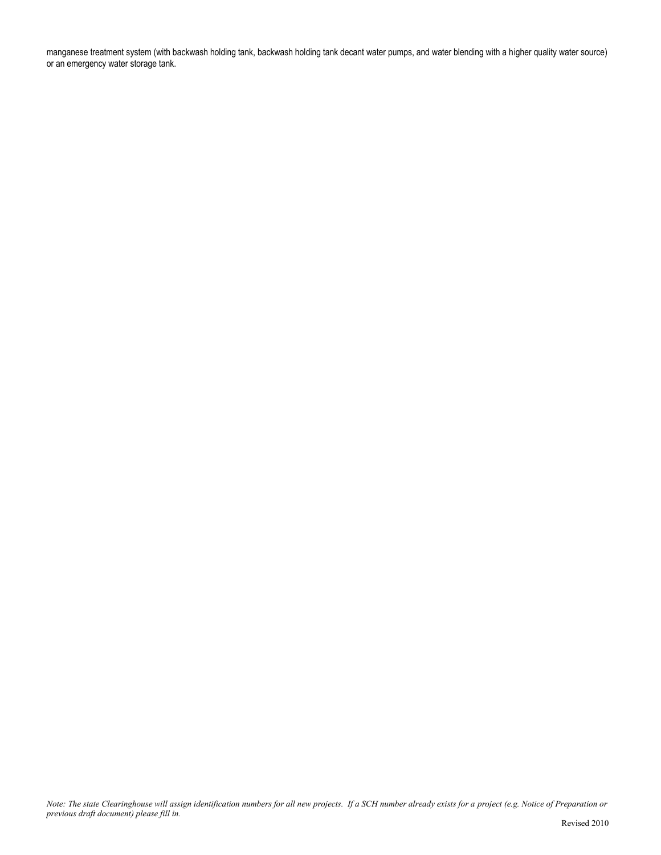manganese treatment system (with backwash holding tank, backwash holding tank decant water pumps, and water blending with a higher quality water source) or an emergency water storage tank.